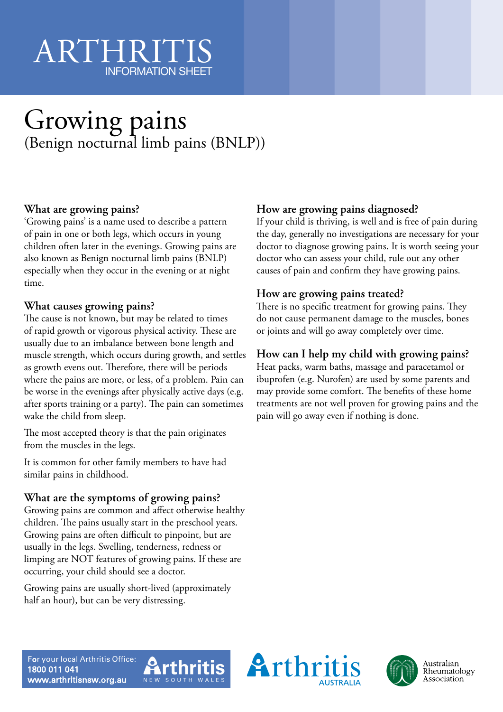# ARTHRIT INFORMATION SHEET

# Growing pains (Benign nocturnal limb pains (BNLP))

## **What are growing pains?**

'Growing pains' is a name used to describe a pattern of pain in one or both legs, which occurs in young children often later in the evenings. Growing pains are also known as Benign nocturnal limb pains (BNLP) especially when they occur in the evening or at night time.

#### **What causes growing pains?**

The cause is not known, but may be related to times of rapid growth or vigorous physical activity. These are usually due to an imbalance between bone length and muscle strength, which occurs during growth, and settles as growth evens out. Therefore, there will be periods where the pains are more, or less, of a problem. Pain can be worse in the evenings after physically active days (e.g. after sports training or a party). The pain can sometimes wake the child from sleep.

The most accepted theory is that the pain originates from the muscles in the legs.

It is common for other family members to have had similar pains in childhood.

#### **What are the symptoms of growing pains?**

Growing pains are common and affect otherwise healthy children. The pains usually start in the preschool years. Growing pains are often difficult to pinpoint, but are usually in the legs. Swelling, tenderness, redness or limping are NOT features of growing pains. If these are occurring, your child should see a doctor.

Growing pains are usually short-lived (approximately half an hour), but can be very distressing.

## **How are growing pains diagnosed?**

If your child is thriving, is well and is free of pain during the day, generally no investigations are necessary for your doctor to diagnose growing pains. It is worth seeing your doctor who can assess your child, rule out any other causes of pain and confirm they have growing pains.

#### **How are growing pains treated?**

There is no specific treatment for growing pains. They do not cause permanent damage to the muscles, bones or joints and will go away completely over time.

### **How can I help my child with growing pains?**

Heat packs, warm baths, massage and paracetamol or ibuprofen (e.g. Nurofen) are used by some parents and may provide some comfort. The benefits of these home treatments are not well proven for growing pains and the pain will go away even if nothing is done.